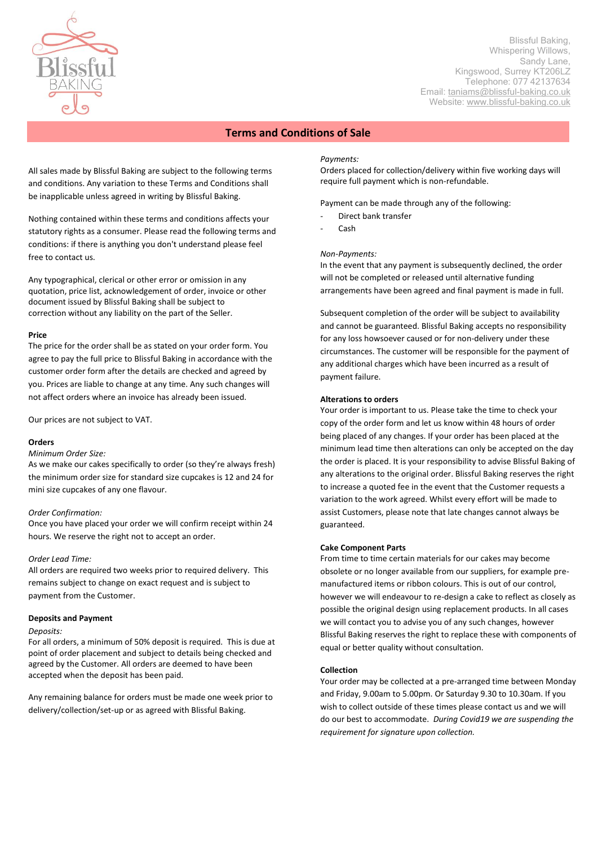

 Blissful Baking, Whispering Willows, Sandy Lane, Kingswood, Surrey KT206LZ Telephone: 077 42137634 Email: [taniams@blissful-baking.co.uk](mailto:taniams@blissful-baking.co.uk) Website: [www.blissful-baking.co.uk](http://www.blissful-baking.co.uk/)

# **Terms and Conditions of Sale**

All sales made by Blissful Baking are subject to the following terms and conditions. Any variation to these Terms and Conditions shall be inapplicable unless agreed in writing by Blissful Baking.

Nothing contained within these terms and conditions affects your statutory rights as a consumer. Please read the following terms and conditions: if there is anything you don't understand please feel free to contact us.

Any typographical, clerical or other error or omission in any quotation, price list, acknowledgement of order, invoice or other document issued by Blissful Baking shall be subject to correction without any liability on the part of the Seller.

## **Price**

The price for the order shall be as stated on your order form. You agree to pay the full price to Blissful Baking in accordance with the customer order form after the details are checked and agreed by you. Prices are liable to change at any time. Any such changes will not affect orders where an invoice has already been issued.

Our prices are not subject to VAT.

# **Orders**

#### *Minimum Order Size:*

As we make our cakes specifically to order (so they're always fresh) the minimum order size for standard size cupcakes is 12 and 24 for mini size cupcakes of any one flavour.

#### *Order Confirmation:*

Once you have placed your order we will confirm receipt within 24 hours. We reserve the right not to accept an order.

#### *Order Lead Time:*

All orders are required two weeks prior to required delivery. This remains subject to change on exact request and is subject to payment from the Customer.

# **Deposits and Payment**

#### *Deposits:*

For all orders, a minimum of 50% deposit is required. This is due at point of order placement and subject to details being checked and agreed by the Customer. All orders are deemed to have been accepted when the deposit has been paid.

Any remaining balance for orders must be made one week prior to delivery/collection/set-up or as agreed with Blissful Baking.

## *Payments:*

Orders placed for collection/delivery within five working days will require full payment which is non-refundable.

Payment can be made through any of the following:

- Direct bank transfer
- Cash

## *Non-Payments:*

In the event that any payment is subsequently declined, the order will not be completed or released until alternative funding arrangements have been agreed and final payment is made in full.

Subsequent completion of the order will be subject to availability and cannot be guaranteed. Blissful Baking accepts no responsibility for any loss howsoever caused or for non-delivery under these circumstances. The customer will be responsible for the payment of any additional charges which have been incurred as a result of payment failure.

#### **Alterations to orders**

Your order is important to us. Please take the time to check your copy of the order form and let us know within 48 hours of order being placed of any changes. If your order has been placed at the minimum lead time then alterations can only be accepted on the day the order is placed. It is your responsibility to advise Blissful Baking of any alterations to the original order. Blissful Baking reserves the right to increase a quoted fee in the event that the Customer requests a variation to the work agreed. Whilst every effort will be made to assist Customers, please note that late changes cannot always be guaranteed.

## **Cake Component Parts**

From time to time certain materials for our cakes may become obsolete or no longer available from our suppliers, for example premanufactured items or ribbon colours. This is out of our control, however we will endeavour to re-design a cake to reflect as closely as possible the original design using replacement products. In all cases we will contact you to advise you of any such changes, however Blissful Baking reserves the right to replace these with components of equal or better quality without consultation.

#### **Collection**

Your order may be collected at a pre-arranged time between Monday and Friday, 9.00am to 5.00pm. Or Saturday 9.30 to 10.30am. If you wish to collect outside of these times please contact us and we will do our best to accommodate. *During Covid19 we are suspending the requirement for signature upon collection.*